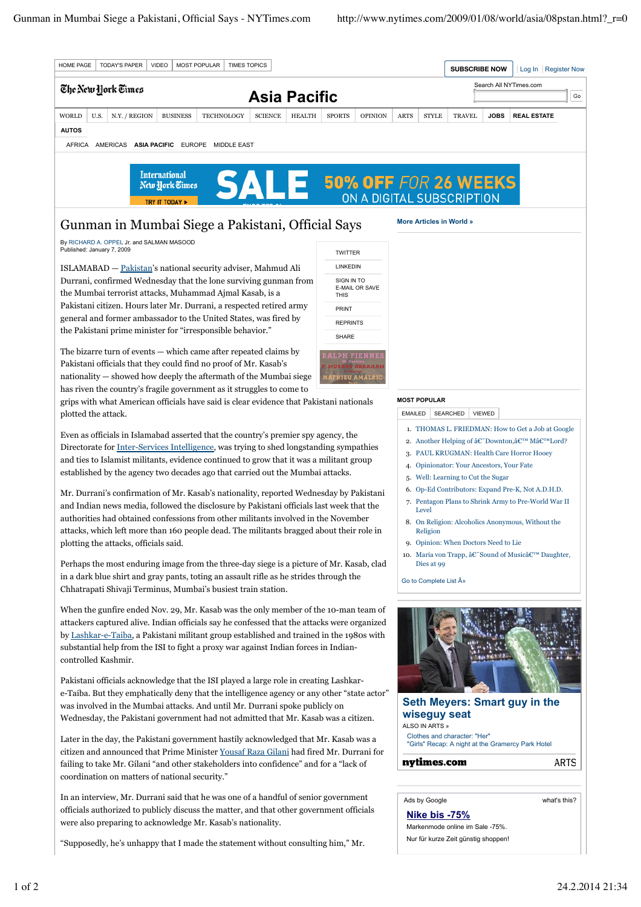